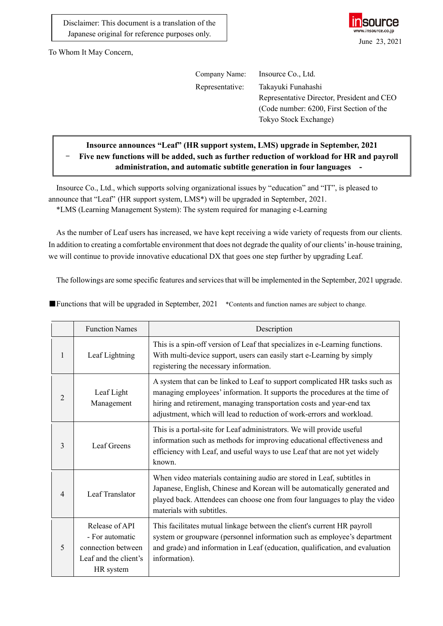Disclaimer: This document is a translation of the Japanese original for reference purposes only.



To Whom It May Concern,

| Company Name:   | Insource Co., Ltd.                         |
|-----------------|--------------------------------------------|
| Representative: | Takayuki Funahashi                         |
|                 | Representative Director, President and CEO |
|                 | (Code number: 6200, First Section of the   |
|                 | Tokyo Stock Exchange)                      |
|                 |                                            |

## **Insource announces "Leaf" (HR support system, LMS) upgrade in September, 2021** Five new functions will be added, such as further reduction of workload for HR and payroll **administration, and automatic subtitle generation in four languages -**

Insource Co., Ltd., which supports solving organizational issues by "education" and "IT", is pleased to announce that "Leaf" (HR support system, LMS\*) will be upgraded in September, 2021. \*LMS (Learning Management System): The system required for managing e-Learning

As the number of Leaf users has increased, we have kept receiving a wide variety of requests from our clients. In addition to creating a comfortable environment that does not degrade the quality of our clients' in-house training, we will continue to provide innovative educational DX that goes one step further by upgrading Leaf.

The followings are some specific features and services that will be implemented in the September, 2021 upgrade.

|                | <b>Function Names</b>                                                                         | Description                                                                                                                                                                                                                                                                                                 |  |
|----------------|-----------------------------------------------------------------------------------------------|-------------------------------------------------------------------------------------------------------------------------------------------------------------------------------------------------------------------------------------------------------------------------------------------------------------|--|
| 1              | Leaf Lightning                                                                                | This is a spin-off version of Leaf that specializes in e-Learning functions.<br>With multi-device support, users can easily start e-Learning by simply<br>registering the necessary information.                                                                                                            |  |
| $\overline{2}$ | Leaf Light<br>Management                                                                      | A system that can be linked to Leaf to support complicated HR tasks such as<br>managing employees' information. It supports the procedures at the time of<br>hiring and retirement, managing transportation costs and year-end tax<br>adjustment, which will lead to reduction of work-errors and workload. |  |
| 3              | Leaf Greens                                                                                   | This is a portal-site for Leaf administrators. We will provide useful<br>information such as methods for improving educational effectiveness and<br>efficiency with Leaf, and useful ways to use Leaf that are not yet widely<br>known.                                                                     |  |
| 4              | Leaf Translator                                                                               | When video materials containing audio are stored in Leaf, subtitles in<br>Japanese, English, Chinese and Korean will be automatically generated and<br>played back. Attendees can choose one from four languages to play the video<br>materials with subtitles.                                             |  |
| 5              | Release of API<br>- For automatic<br>connection between<br>Leaf and the client's<br>HR system | This facilitates mutual linkage between the client's current HR payroll<br>system or groupware (personnel information such as employee's department<br>and grade) and information in Leaf (education, qualification, and evaluation<br>information).                                                        |  |

■Functions that will be upgraded in September, 2021 \*Contents and function names are subject to change.